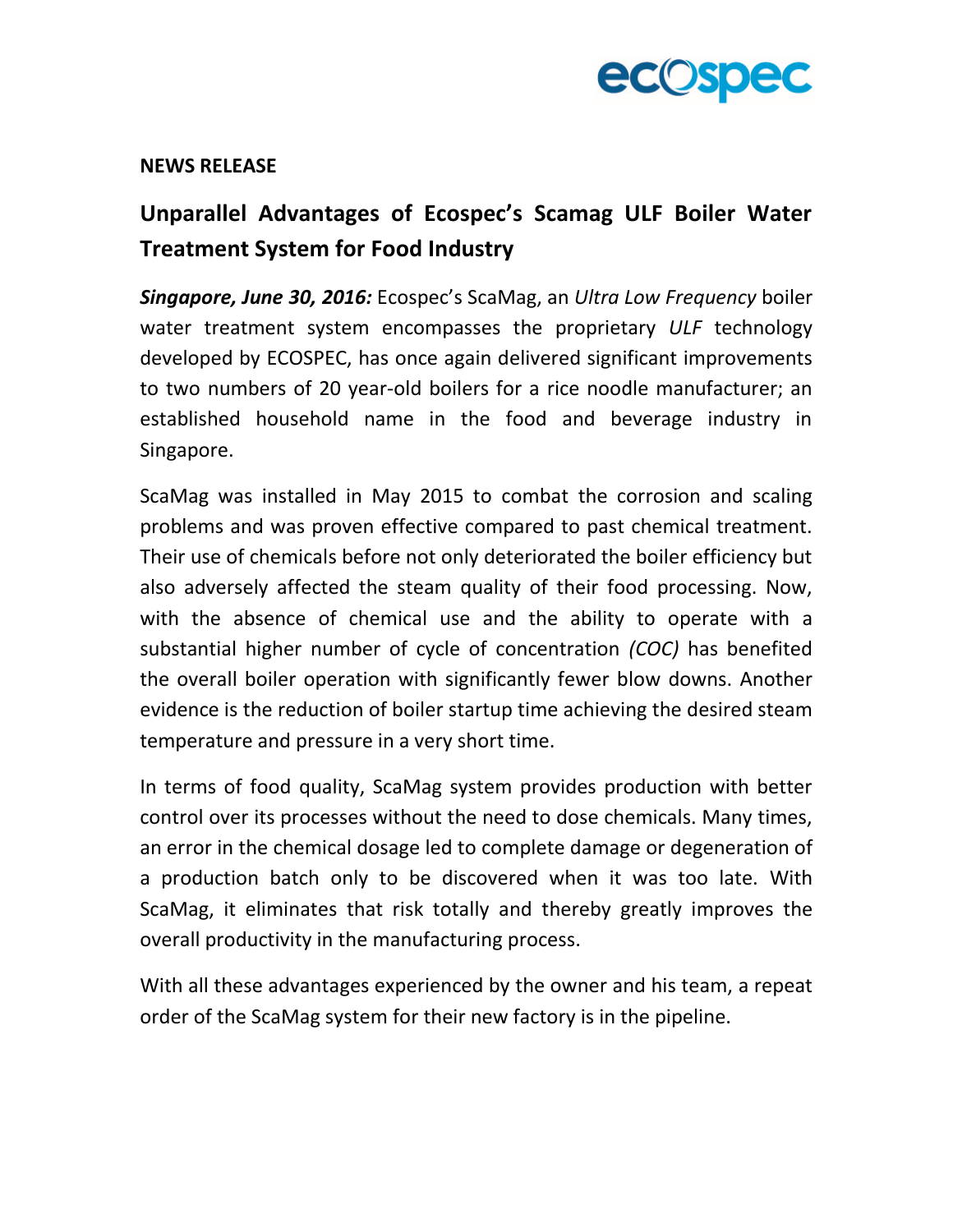

## **NEWS RELEASE**

## **Unparallel Advantages of Ecospec's Scamag ULF Boiler Water Treatment System for Food Industry**

*Singapore, June 30, 2016:* Ecospec's ScaMag, an *Ultra Low Frequency* boiler water treatment system encompasses the proprietary *ULF* technology developed by ECOSPEC, has once again delivered significant improvements to two numbers of 20 year-old boilers for a rice noodle manufacturer; an established household name in the food and beverage industry in Singapore.

ScaMag was installed in May 2015 to combat the corrosion and scaling problems and was proven effective compared to past chemical treatment. Their use of chemicals before not only deteriorated the boiler efficiency but also adversely affected the steam quality of their food processing. Now, with the absence of chemical use and the ability to operate with a substantial higher number of cycle of concentration *(COC)* has benefited the overall boiler operation with significantly fewer blow downs. Another evidence is the reduction of boiler startup time achieving the desired steam temperature and pressure in a very short time.

In terms of food quality, ScaMag system provides production with better control over its processes without the need to dose chemicals. Many times, an error in the chemical dosage led to complete damage or degeneration of a production batch only to be discovered when it was too late. With ScaMag, it eliminates that risk totally and thereby greatly improves the overall productivity in the manufacturing process.

With all these advantages experienced by the owner and his team, a repeat order of the ScaMag system for their new factory is in the pipeline.